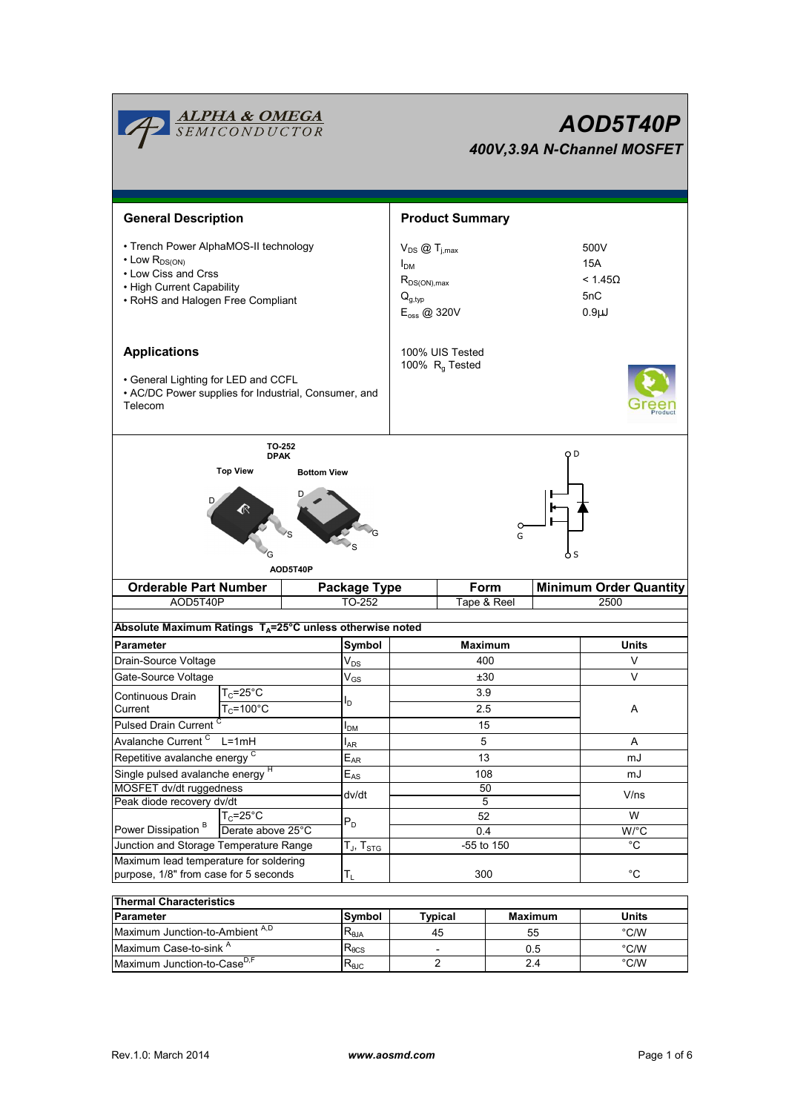| <u><b>ALPHA &amp; OMEGA</b><br/>SEMICONDUCTOR</u><br>AOD5T40P<br>400V, 3.9A N-Channel MOSFET                                                                                                              |                                             |  |                                  |                                                                                                                             |                                               |             |                                                                                |                |  |  |  |  |
|-----------------------------------------------------------------------------------------------------------------------------------------------------------------------------------------------------------|---------------------------------------------|--|----------------------------------|-----------------------------------------------------------------------------------------------------------------------------|-----------------------------------------------|-------------|--------------------------------------------------------------------------------|----------------|--|--|--|--|
| <b>General Description</b>                                                                                                                                                                                |                                             |  |                                  | <b>Product Summary</b>                                                                                                      |                                               |             |                                                                                |                |  |  |  |  |
| • Trench Power AlphaMOS-II technology<br>$\cdot$ Low $R_{DS(ON)}$<br>• Low Ciss and Crss<br>• High Current Capability<br>• RoHS and Halogen Free Compliant                                                |                                             |  |                                  | $V_{DS}$ $\textcircled{1}_{i,max}$<br>I <sub>DM</sub><br>$R_{DS(ON),max}$<br>$Q_{q, \text{typ}}$<br>E <sub>oss</sub> @ 320V |                                               |             | 500V<br><b>15A</b><br>< 1.45 <omega<br>5nC<br/><math>0.9\mu</math>J</omega<br> |                |  |  |  |  |
| <b>Applications</b><br>• General Lighting for LED and CCFL<br>• AC/DC Power supplies for Industrial, Consumer, and<br>Telecom                                                                             |                                             |  |                                  |                                                                                                                             | 100% UIS Tested<br>100% R <sub>q</sub> Tested |             |                                                                                |                |  |  |  |  |
| <b>TO-252</b><br>o D<br><b>DPAK</b><br><b>Top View</b><br><b>Bottom View</b><br>o<br>G<br>o s<br>AOD5T40P<br><b>Orderable Part Number</b><br>Form<br><b>Minimum Order Quantity</b><br><b>Package Type</b> |                                             |  |                                  |                                                                                                                             |                                               |             |                                                                                |                |  |  |  |  |
| AOD5T40P<br>Absolute Maximum Ratings T <sub>A</sub> =25°C unless otherwise noted                                                                                                                          |                                             |  | TO-252                           |                                                                                                                             |                                               | Tape & Reel |                                                                                | 2500           |  |  |  |  |
| <b>Parameter</b>                                                                                                                                                                                          |                                             |  |                                  |                                                                                                                             |                                               |             |                                                                                | <b>Units</b>   |  |  |  |  |
|                                                                                                                                                                                                           |                                             |  | Symbol<br>$V_{DS}$               | <b>Maximum</b><br>400                                                                                                       |                                               |             | V                                                                              |                |  |  |  |  |
| Drain-Source Voltage<br>Gate-Source Voltage                                                                                                                                                               |                                             |  | $V_{GS}$                         | ±30                                                                                                                         |                                               |             | V                                                                              |                |  |  |  |  |
| Continuous Drain<br>Current<br><b>Pulsed Drain Current</b>                                                                                                                                                | $T_c = 25^\circ C$<br>$T_c = 100^{\circ}$ C |  | $I_D$                            | 3.9<br>2.5<br>15                                                                                                            |                                               |             |                                                                                | A              |  |  |  |  |
| Avalanche Current <sup>C</sup>                                                                                                                                                                            | $L=1mH$                                     |  | I <sub>DM</sub>                  |                                                                                                                             | 5                                             |             |                                                                                |                |  |  |  |  |
|                                                                                                                                                                                                           |                                             |  | $I_{AR}$<br>$E_{AR}$             |                                                                                                                             |                                               |             |                                                                                | Α<br>mJ        |  |  |  |  |
| Repetitive avalanche energy <sup>C</sup><br>Single pulsed avalanche energy <sup>H</sup>                                                                                                                   |                                             |  | $\mathsf{E}_{\mathsf{AS}}$       | 13<br>108                                                                                                                   |                                               |             |                                                                                | mJ             |  |  |  |  |
| MOSFET dv/dt ruggedness                                                                                                                                                                                   |                                             |  |                                  | 50                                                                                                                          |                                               |             |                                                                                |                |  |  |  |  |
| Peak diode recovery dv/dt                                                                                                                                                                                 |                                             |  | dv/dt                            | 5                                                                                                                           |                                               |             | V/ns                                                                           |                |  |  |  |  |
| Power Dissipation <sup>B</sup>                                                                                                                                                                            | $T_c = 25^\circ C$<br>Derate above 25°C     |  | $P_D$                            | 52<br>0.4                                                                                                                   |                                               |             | W<br>$W$ <sup>o</sup> C                                                        |                |  |  |  |  |
| Junction and Storage Temperature Range                                                                                                                                                                    |                                             |  | $T_J$ , $T_{STG}$                | -55 to 150                                                                                                                  |                                               |             |                                                                                | °C             |  |  |  |  |
| Maximum lead temperature for soldering<br>purpose, 1/8" from case for 5 seconds                                                                                                                           |                                             |  | $T_L$                            | 300                                                                                                                         |                                               |             | $^{\circ}$ C                                                                   |                |  |  |  |  |
| <b>Thermal Characteristics</b>                                                                                                                                                                            |                                             |  |                                  |                                                                                                                             |                                               |             |                                                                                |                |  |  |  |  |
| Parameter                                                                                                                                                                                                 |                                             |  | Symbol                           |                                                                                                                             | <b>Typical</b>                                |             | <b>Maximum</b>                                                                 | <b>Units</b>   |  |  |  |  |
| Maximum Junction-to-Ambient A,D                                                                                                                                                                           |                                             |  | $\mathsf{R}_{\theta\mathsf{JA}}$ |                                                                                                                             | 45                                            |             | 55                                                                             | $\degree$ C/W  |  |  |  |  |
| Maximum Case-to-sink A                                                                                                                                                                                    |                                             |  | $\mathsf{R}_{\theta\text{CS}}$   |                                                                                                                             |                                               |             | 0.5                                                                            | $\degree$ C/W  |  |  |  |  |
| Maximum Junction-to-Case <sup>D,F</sup>                                                                                                                                                                   |                                             |  | $R_{\theta$ JC                   |                                                                                                                             | $\boldsymbol{2}$                              |             | 2.4                                                                            | $^{\circ}$ C/W |  |  |  |  |

 $R_{\theta JC}$ 

Maximum Junction-to-Case<sup>D,F</sup>  $R_{\theta \text{JC}}$  2

 $\overline{\phantom{a}}$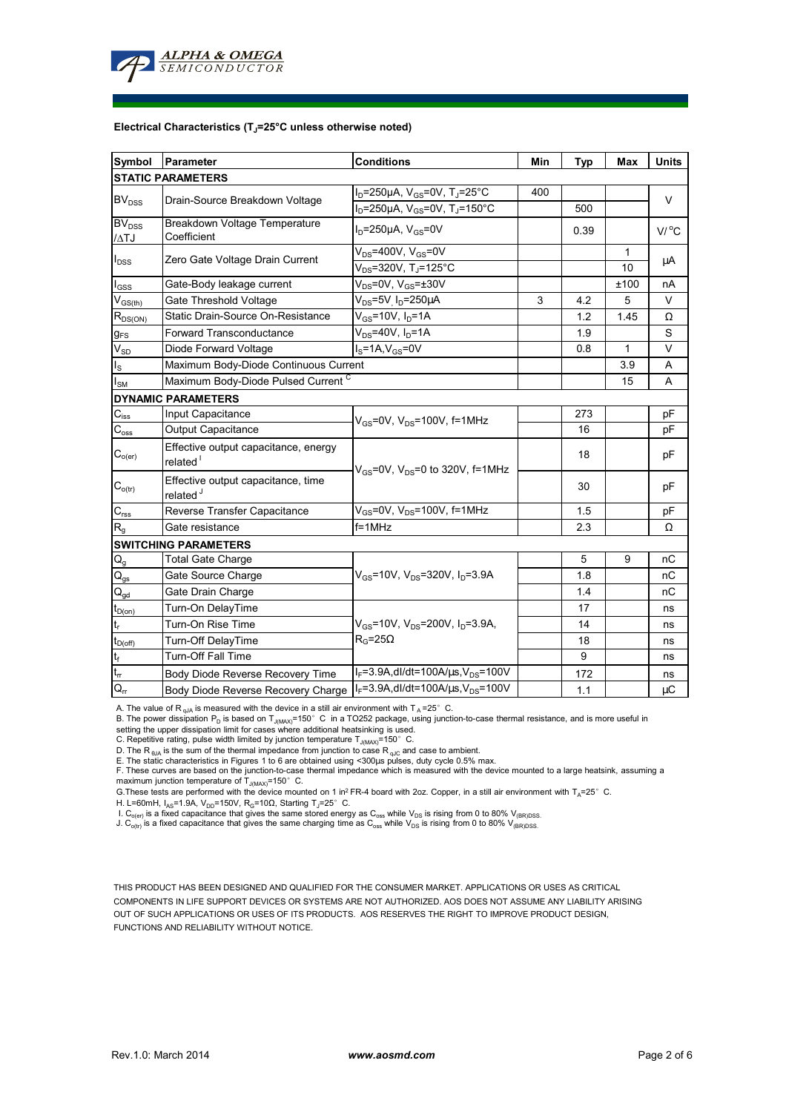

#### **Electrical Characteristics (TJ=25°C unless otherwise noted)**

| Symbol                                 | Parameter                                                                                                 | <b>Conditions</b>                                                  | Min | <b>Typ</b> | Max          | <b>Units</b>        |  |  |  |  |  |  |
|----------------------------------------|-----------------------------------------------------------------------------------------------------------|--------------------------------------------------------------------|-----|------------|--------------|---------------------|--|--|--|--|--|--|
| <b>STATIC PARAMETERS</b>               |                                                                                                           |                                                                    |     |            |              |                     |  |  |  |  |  |  |
| BV <sub>DSS</sub>                      | Drain-Source Breakdown Voltage                                                                            | l <sub>D</sub> =250μA, V <sub>GS</sub> =0V, T <sub>J</sub> =25°C   | 400 |            |              | V                   |  |  |  |  |  |  |
|                                        |                                                                                                           | $I_D = 250 \mu A$ , $V_{GS} = 0V$ , T <sub>J</sub> =150°C          |     | 500        |              |                     |  |  |  |  |  |  |
| <b>BV</b> <sub>DSS</sub><br>/ATJ       | Breakdown Voltage Temperature<br>Coefficient                                                              | $I_D = 250 \mu A$ , $V_{GS} = 0V$                                  |     | 0.39       |              | $V/$ <sup>o</sup> C |  |  |  |  |  |  |
|                                        | Zero Gate Voltage Drain Current                                                                           | $V_{DS}$ =400V, $V_{GS}$ =0V                                       |     |            | $\mathbf{1}$ | μA                  |  |  |  |  |  |  |
| $I_{DSS}$                              |                                                                                                           | $V_{DS} = 320V$ , T <sub>J</sub> =125°C                            |     |            | 10           |                     |  |  |  |  |  |  |
| $I_{GSS}$                              | Gate-Body leakage current                                                                                 | $\overline{\mathsf{V}_{\text{DS}}}$ =0V, V <sub>GS</sub> =±30V     |     |            | ±100         | nA                  |  |  |  |  |  |  |
| $V_{GS(th)}$                           | Gate Threshold Voltage                                                                                    | $V_{DS} = 5V$ <sub>.</sub> $I_D = 250 \mu A$                       | 3   | 4.2        | 5            | $\vee$              |  |  |  |  |  |  |
| $R_{DS(ON)}$                           | Static Drain-Source On-Resistance                                                                         | $V_{GS}$ =10V, $I_D$ =1A                                           |     | 1.2        | 1.45         | Ω                   |  |  |  |  |  |  |
| $g_{FS}$                               | Forward Transconductance                                                                                  | $V_{DS}$ =40V, $I_D$ =1A                                           |     | 1.9        |              | S                   |  |  |  |  |  |  |
| $\rm V_{SD}$                           | Diode Forward Voltage                                                                                     | $IS=1A, VGS=0V$                                                    |     | 0.8        | 1            | V                   |  |  |  |  |  |  |
| $I_{\rm S}$                            | Maximum Body-Diode Continuous Current                                                                     |                                                                    |     | 3.9        | A            |                     |  |  |  |  |  |  |
| $I_{\text{SM}}$                        | Maximum Body-Diode Pulsed Current C                                                                       |                                                                    |     | 15         | A            |                     |  |  |  |  |  |  |
|                                        | <b>DYNAMIC PARAMETERS</b>                                                                                 |                                                                    |     |            |              |                     |  |  |  |  |  |  |
| $\mathbf{C}_{\text{iss}}$              | Input Capacitance                                                                                         | $V_{\text{GS}}$ =0V, $V_{\text{DS}}$ =100V, f=1MHz                 |     | 273        |              | рF                  |  |  |  |  |  |  |
| $C_{\text{oss}}$                       | Output Capacitance                                                                                        |                                                                    |     | 16         |              | pF                  |  |  |  |  |  |  |
| $C_{o(er)}$                            | Effective output capacitance, energy<br>related <sup>1</sup><br>$V_{GS}$ =0V, $V_{DS}$ =0 to 320V, f=1MHz |                                                                    |     | 18         |              | pF                  |  |  |  |  |  |  |
| $C_{o(tr)}$                            | Effective output capacitance, time<br>related <sup>J</sup>                                                |                                                                    |     | 30         |              | pF                  |  |  |  |  |  |  |
| $C_{\text{rss}}$                       | Reverse Transfer Capacitance                                                                              | $V_{GS}$ =0V, $V_{DS}$ =100V, f=1MHz                               |     | 1.5        |              | рF                  |  |  |  |  |  |  |
| $R_{q}$                                | Gate resistance                                                                                           | $f = 1$ MHz                                                        |     | 2.3        |              | Ω                   |  |  |  |  |  |  |
| <b>SWITCHING PARAMETERS</b>            |                                                                                                           |                                                                    |     |            |              |                     |  |  |  |  |  |  |
| $\mathsf{Q}_{\mathsf{g}}$              | <b>Total Gate Charge</b>                                                                                  |                                                                    |     | 5          | 9            | пC                  |  |  |  |  |  |  |
| $\mathsf{Q}_{\underline{\mathsf{gs}}}$ | Gate Source Charge                                                                                        | $V_{GS}$ =10V, V <sub>DS</sub> =320V, I <sub>D</sub> =3.9A         |     | 1.8        |              | nC                  |  |  |  |  |  |  |
| $\mathsf{Q}_{\mathsf{gd}}$             | Gate Drain Charge                                                                                         |                                                                    |     | 1.4        |              | nC                  |  |  |  |  |  |  |
| $t_{D(0n)}$                            | Turn-On DelayTime                                                                                         |                                                                    |     | 17         |              | ns                  |  |  |  |  |  |  |
| $\mathsf{t}_\mathsf{r}$                | Turn-On Rise Time                                                                                         | $V_{\text{GS}}$ =10V, V <sub>DS</sub> =200V, I <sub>D</sub> =3.9A, |     | 14         |              | ns                  |  |  |  |  |  |  |
| $t_{D(\text{off})}$                    | Turn-Off DelayTime                                                                                        | $R_G = 25\Omega$                                                   |     | 18         |              | ns                  |  |  |  |  |  |  |
| $\mathsf{t}_{\mathsf{f}}$              | <b>Turn-Off Fall Time</b>                                                                                 |                                                                    |     | 9          |              | ns                  |  |  |  |  |  |  |
| $t_{rr}$                               | Body Diode Reverse Recovery Time                                                                          | $I_F = 3.9A$ , dl/dt=100A/ $\mu$ s, V <sub>DS</sub> =100V          |     | 172        |              | ns                  |  |  |  |  |  |  |
| $Q_{\rm r}$                            | Body Diode Reverse Recovery Charge                                                                        | $I_F = 3.9A$ , dl/dt=100A/ $\mu$ s, V <sub>DS</sub> =100V          |     | 1.1        |              | μC                  |  |  |  |  |  |  |

A. The value of R<sub>nJA</sub> is measured with the device in a still air environment with T<sub>A</sub>=25°C.

B. The power dissipation P<sub>D</sub> is based on T<sub>JMMAX</sub>=150°C in a TO252 package, using junction-to-case thermal resistance, and is more useful in setting the upper dissipation limit for cases where additional heatsinking is used.

C. Repetitive rating, pulse width limited by junction temperature  $T_{J(MAX)}$ =150°C.

D. The R<sub> $\theta$ JA</sub> is the sum of the thermal impedance from junction to case R<sub>qJC</sub> and case to ambient.

E. The static characteristics in Figures 1 to 6 are obtained using <300µs pulses, duty cycle 0.5% max.<br>F. These curves are based on the junction-to-case thermal impedance which is measured with the device mounted to a larg maximum junction temperature of  $T_{J(MAX)}$ =150° C.

G. These tests are performed with the device mounted on 1 in<sup>2</sup> FR-4 board with 2oz. Copper, in a still air environment with T<sub>A</sub>=25°C.

H. L=60mH, I<sub>AS</sub>=1.9A, V<sub>DD</sub>=150V, R<sub>G</sub>=10Ω, Starting T<sub>J</sub>=25°C.

I. C<sub>o(er)</sub> is a fixed capacitance that gives the same stored energy as C<sub>oss</sub> while V<sub>DS</sub> is rising from 0 to 80% V<sub>(BR)DSS.</sub><br>J. C<sub>o(tr)</sub> is a fixed capacitance that gives the same charging time as C<sub>oss</sub> while V<sub>DS</sub> is

THIS PRODUCT HAS BEEN DESIGNED AND QUALIFIED FOR THE CONSUMER MARKET. APPLICATIONS OR USES AS CRITICAL

COMPONENTS IN LIFE SUPPORT DEVICES OR SYSTEMS ARE NOT AUTHORIZED. AOS DOES NOT ASSUME ANY LIABILITY ARISING OUT OF SUCH APPLICATIONS OR USES OF ITS PRODUCTS. AOS RESERVES THE RIGHT TO IMPROVE PRODUCT DESIGN, FUNCTIONS AND RELIABILITY WITHOUT NOTICE.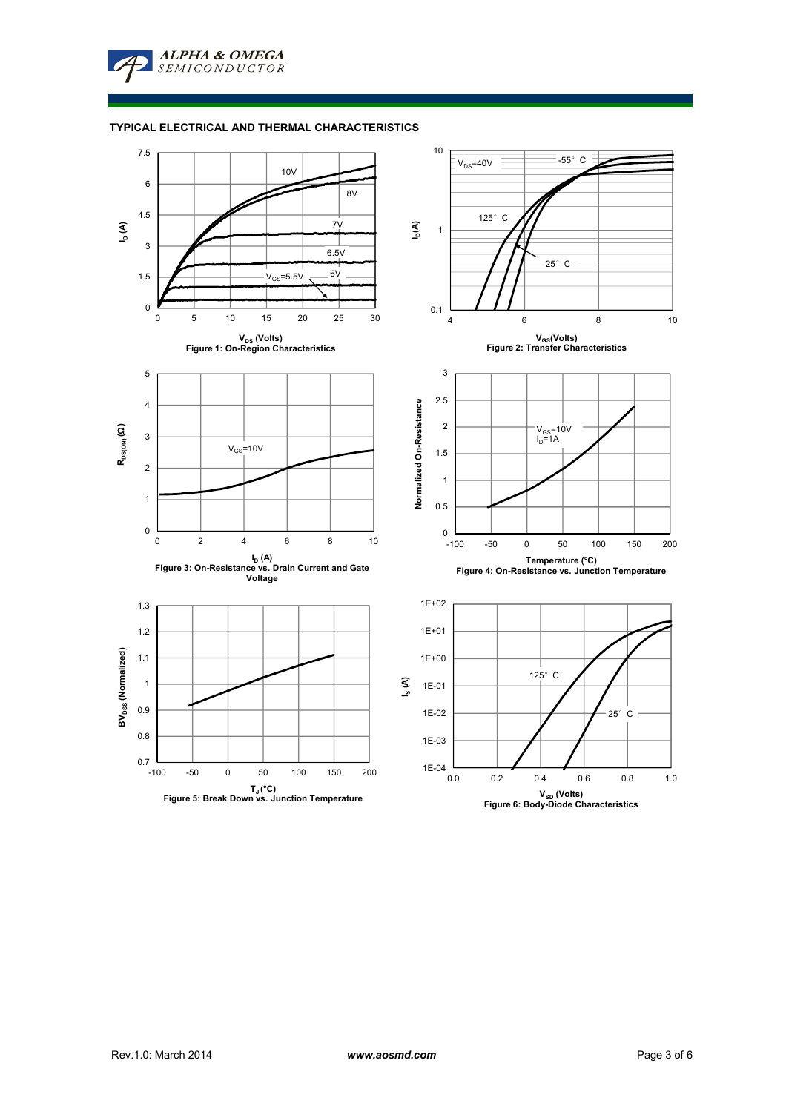

# **TYPICAL ELECTRICAL AND THERMAL CHARACTERISTICS**

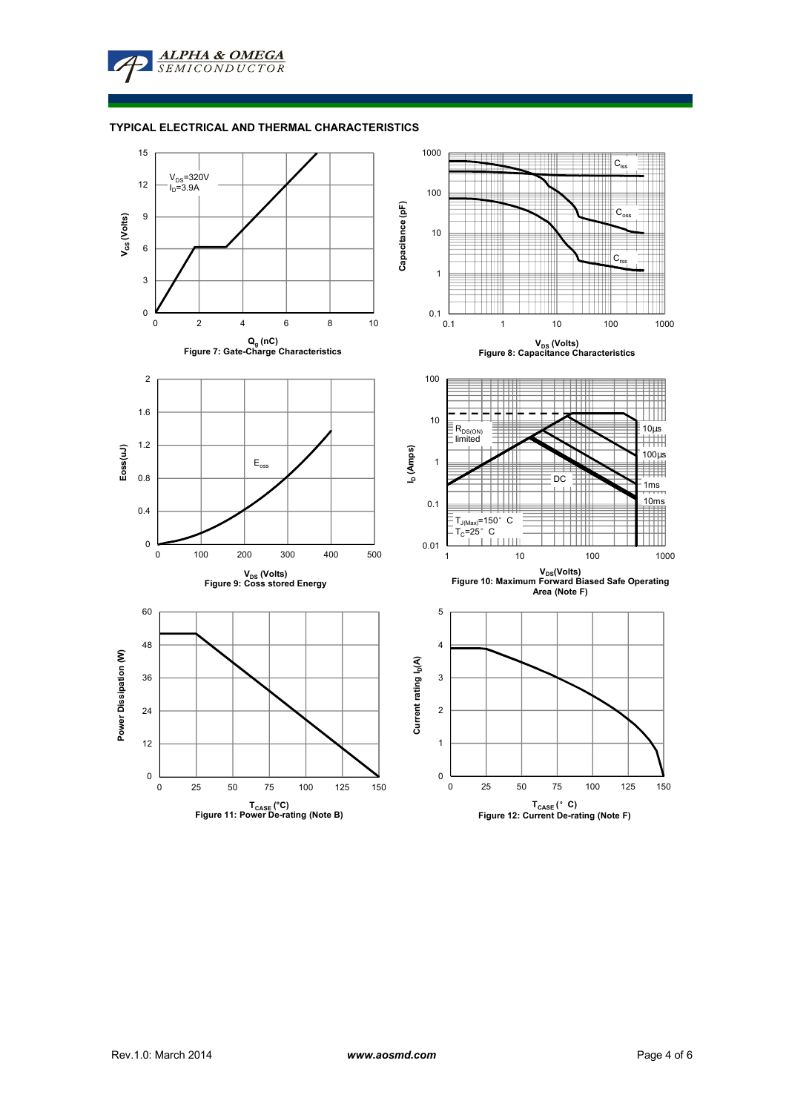

# **TYPICAL ELECTRICAL AND THERMAL CHARACTERISTICS**

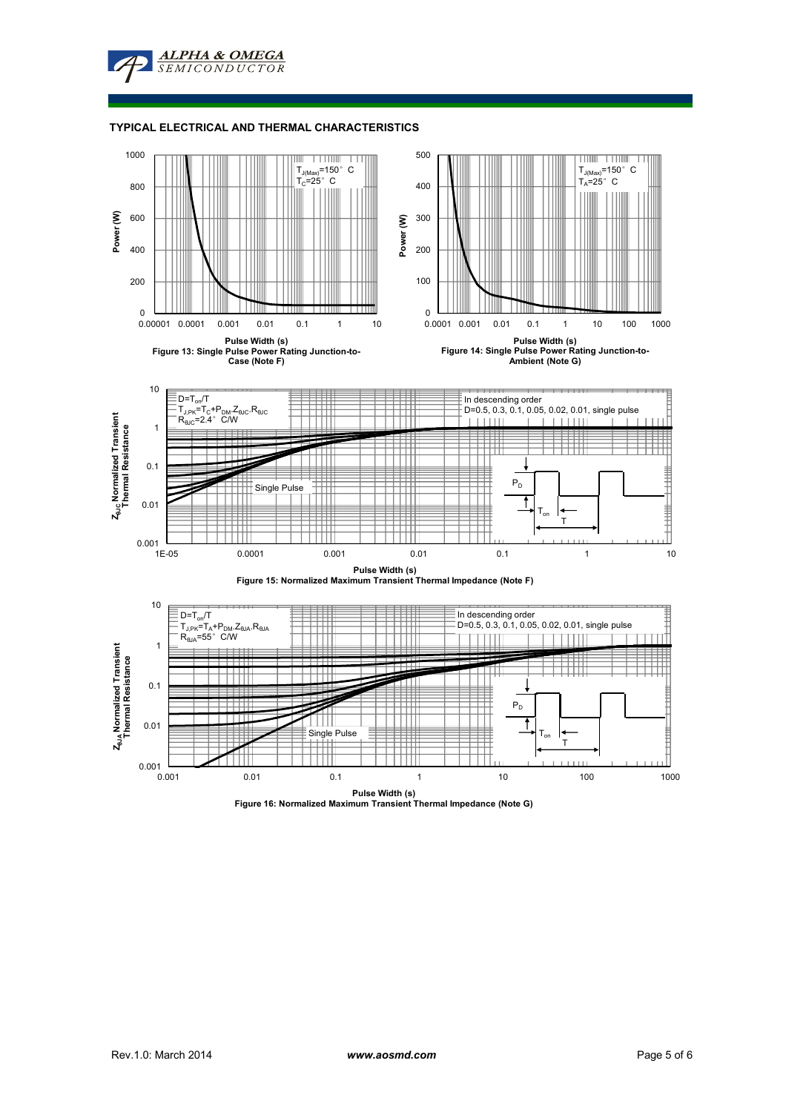

#### **TYPICAL ELECTRICAL AND THERMAL CHARACTERISTICS**